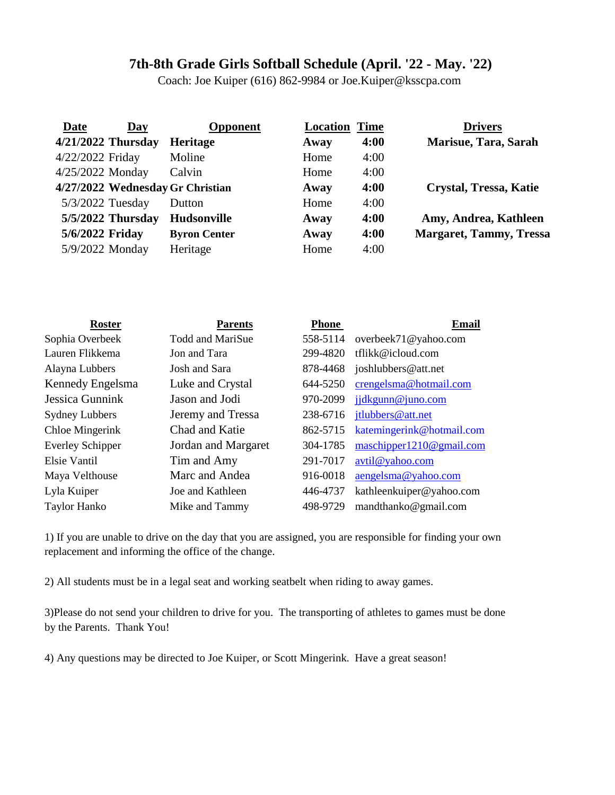## **7th-8th Grade Girls Softball Schedule (April. '22 - May. '22)**

Coach: Joe Kuiper (616) 862-9984 or Joe.Kuiper@ksscpa.com

| Date               | Day | <b>Opponent</b>                  | <b>Location Time</b> |      | <b>Drivers</b>                 |
|--------------------|-----|----------------------------------|----------------------|------|--------------------------------|
| 4/21/2022 Thursday |     | Heritage                         | Away                 | 4:00 | Marisue, Tara, Sarah           |
| 4/22/2022 Friday   |     | Moline                           | Home                 | 4:00 |                                |
| 4/25/2022 Monday   |     | Calvin                           | Home                 | 4:00 |                                |
|                    |     | 4/27/2022 Wednesday Gr Christian | Away                 | 4:00 | Crystal, Tressa, Katie         |
| 5/3/2022 Tuesday   |     | Dutton                           | Home                 | 4:00 |                                |
| 5/5/2022 Thursday  |     | <b>Hudsonville</b>               | Away                 | 4:00 | Amy, Andrea, Kathleen          |
| 5/6/2022 Friday    |     | <b>Byron Center</b>              | Away                 | 4:00 | <b>Margaret, Tammy, Tressa</b> |
| 5/9/2022 Monday    |     | Heritage                         | Home                 | 4:00 |                                |

| <b>Roster</b>           | <b>Parents</b>          | <b>Phone</b> | Email                        |
|-------------------------|-------------------------|--------------|------------------------------|
| Sophia Overbeek         | <b>Todd and MariSue</b> | 558-5114     | overbeek71@yahoo.com         |
| Lauren Flikkema         | Jon and Tara            | 299-4820     | tflikk@icloud.com            |
| Alayna Lubbers          | Josh and Sara           | 878-4468     | joshlubbers@att.net          |
| Kennedy Engelsma        | Luke and Crystal        | 644-5250     | crengelsma@hotmail.com       |
| Jessica Gunnink         | Jason and Jodi          | 970-2099     | jjdkgunn@juno.com            |
| <b>Sydney Lubbers</b>   | Jeremy and Tressa       | 238-6716     | jtlubbers@att.net            |
| <b>Chloe Mingerink</b>  | Chad and Katie          | 862-5715     | katemingerink@hotmail.com    |
| <b>Everley Schipper</b> | Jordan and Margaret     | 304-1785     | maschipper $1210@$ gmail.com |
| Elsie Vantil            | Tim and Amy             | 291-7017     | avtil@yahoo.com              |
| Maya Velthouse          | Marc and Andea          | 916-0018     | aengelsma@yahoo.com          |
| Lyla Kuiper             | Joe and Kathleen        | 446-4737     | kathleenkuiper@yahoo.com     |
| <b>Taylor Hanko</b>     | Mike and Tammy          | 498-9729     | mandthanko@gmail.com         |
|                         |                         |              |                              |

1) If you are unable to drive on the day that you are assigned, you are responsible for finding your own replacement and informing the office of the change.

2) All students must be in a legal seat and working seatbelt when riding to away games.

3)Please do not send your children to drive for you. The transporting of athletes to games must be done by the Parents. Thank You!

4) Any questions may be directed to Joe Kuiper, or Scott Mingerink. Have a great season!